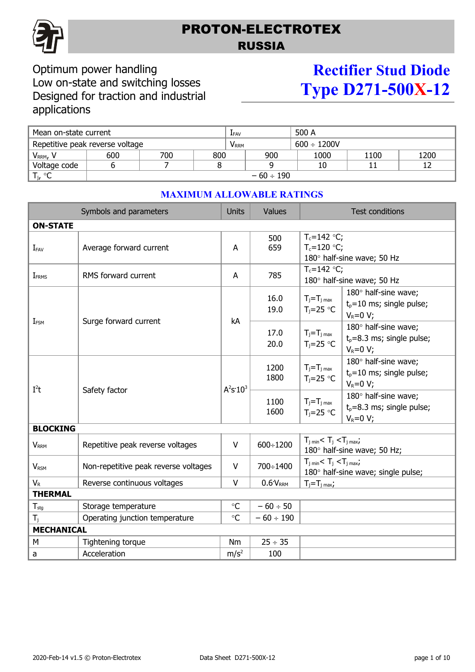

# PROTON-ELECTROTEX RUSSIA

## Optimum power handling Low on-state and switching losses Designed for traction and industrial applications

# **Rectifier Stud Diode Type D271-500X-12**

| Mean on-state current           |                |     |                         | <b>LFAV</b> |                  | 500 A |      |      |
|---------------------------------|----------------|-----|-------------------------|-------------|------------------|-------|------|------|
| Repetitive peak reverse voltage |                |     | <b>V</b> <sub>RRM</sub> |             | $600 \div 1200V$ |       |      |      |
| V <sub>RRM</sub> , V            | 600            | 700 | 800                     |             | 900              | 1000  | 1100 | 1200 |
| Voltage code                    |                |     |                         |             |                  | 10    |      |      |
| $T_{j}$ , °C                    | $-60 \div 190$ |     |                         |             |                  |       |      |      |

#### Symbols and parameters and Units Values Values Test conditions **ON-STATE**  $I_{FAV}$  Average forward current  $A$ 500 659  $T_c=142$  °C;  $T_c=120$  °C; 180° half-sine wave; 50 Hz  $I_{FRMS}$  RMS forward current  $A$  A 785  $T_c=142$  °C; 180° half-sine wave; 50 Hz  $I_{FSM}$  Surge forward current  $I_{FSM}$  kA 16.0 19.0  $T_i = T_{i \text{ max}}$  $T_j = 25$  °C  $180^\circ$  half-sine wave;  $t<sub>p</sub>=10$  ms; single pulse;  $V_R=0$  V; 17.0 20.0  $T_i = T_i$  max  $T_i=25$  °C  $180^\circ$  half-sine wave;  $t<sub>0</sub>=8.3$  ms; single pulse;  $V_P=0$  V:  $I^2$ Safety factor  $3^2$ s<sup>-</sup>10<sup>3</sup> 1200 1800  $T_i = T_j$  max  $T_i=25$  °C  $180^\circ$  half-sine wave;  $t<sub>p</sub>=10$  ms; single pulse;  $V_R=0$  V; 1100 1600  $T_j = T_j$  max  $T_i=25$  °C  $180^\circ$  half-sine wave;  $t<sub>p</sub>=8.3$  ms; single pulse;  $V_R=0$  V; **BLOCKING**  $V_{\rm RRM}$  Repetitive peak reverse voltages  $V_{\rm RRM}$  600÷1200  $T_{\rm jmin}$  <  $T_{\rm j}$  <  $T_{\rm jmax}$ ; 180° half-sine wave; 50 Hz;  $V_{RSM}$  Non-repetitive peak reverse voltages  $V_{RSM}$  700÷1400  $T_{j min} < T_j < T_{j max}$ ;  $180^\circ$  half-sine wave; single pulse;  $V_R$  Reverse continuous voltages  $V_R$  0.6<sup>·</sup>V<sub>RRM</sub>  $T_i = T_{i \max}$ ; **THERMAL**  $T_{\text{sta}}$  Storage temperature  $\degree$  C  $\degree$  – 60  $\div$  50 Tj Operating junction temperature C – 60 190 **MECHANICAL** M  $\vert$  Tightening torque  $\vert$  Nm  $\vert$  25  $\div$  35 a  $|$  Acceleration  $|m/s^2|$ 100

## **MAXIMUM ALLOWABLE RATINGS**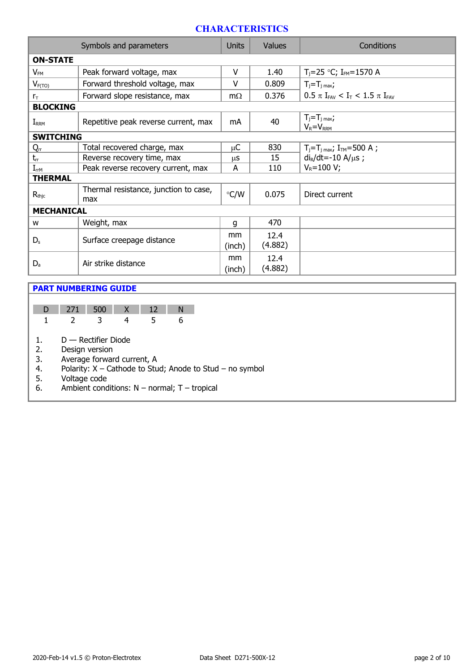## **CHARACTERISTICS**

|                   | Symbols and parameters                       |               | <b>Values</b>   | Conditions                                           |  |  |  |  |
|-------------------|----------------------------------------------|---------------|-----------------|------------------------------------------------------|--|--|--|--|
| <b>ON-STATE</b>   |                                              |               |                 |                                                      |  |  |  |  |
| $V_{FM}$          | Peak forward voltage, max                    | v             | 1.40            | $T_i = 25$ °C; $I_{FM} = 1570$ A                     |  |  |  |  |
| $V_{F(TO)}$       | Forward threshold voltage, max               | V             | 0.809           | $T_i = T_i$ max                                      |  |  |  |  |
| $r_{\rm T}$       | Forward slope resistance, max                | $m\Omega$     | 0.376           | $0.5 \pi I_{FAV} < I_T < 1.5 \pi I_{FAV}$            |  |  |  |  |
| <b>BLOCKING</b>   |                                              |               |                 |                                                      |  |  |  |  |
| $I_{RRM}$         | Repetitive peak reverse current, max         | mA            | 40              | $T_j = T_j$ max,<br>$V_R = V_{RRM}$                  |  |  |  |  |
| <b>SWITCHING</b>  |                                              |               |                 |                                                      |  |  |  |  |
| $Q_{rr}$          | Total recovered charge, max                  | μC            | 830             | $T_i = T_i$ <sub>max</sub> ; I <sub>TM</sub> =500 A; |  |  |  |  |
| $t_{rr}$          | Reverse recovery time, max                   | μS            | 15              | $di_R/dt = -10 A/\mu s$ ;                            |  |  |  |  |
| $I_{rrM}$         | Peak reverse recovery current, max           | A             | 110             | $V_R = 100 V;$                                       |  |  |  |  |
| <b>THERMAL</b>    |                                              |               |                 |                                                      |  |  |  |  |
| $R_{\rm thjc}$    | Thermal resistance, junction to case,<br>max | $\degree$ C/W | 0.075           | Direct current                                       |  |  |  |  |
| <b>MECHANICAL</b> |                                              |               |                 |                                                      |  |  |  |  |
| W                 | Weight, max                                  | g             | 470             |                                                      |  |  |  |  |
| $D_{s}$           |                                              | mm            | 12.4            |                                                      |  |  |  |  |
|                   | Surface creepage distance                    | (inch)        | (4.882)         |                                                      |  |  |  |  |
| $D_{a}$           | Air strike distance                          |               | 12.4<br>(4.882) |                                                      |  |  |  |  |

### **PART NUMBERING GUIDE**

| 7 I T | $-50$ |  |  |
|-------|-------|--|--|
|       |       |  |  |

- 1. D Rectifier Diode
- 2. Design version

3. Average forward current, A<br>4. Polarity: X – Cathode to Stu

- Polarity:  $X$  Cathode to Stud; Anode to Stud no symbol
- 5. Voltage code
- 6. Ambient conditions:  $N -$  normal;  $T -$  tropical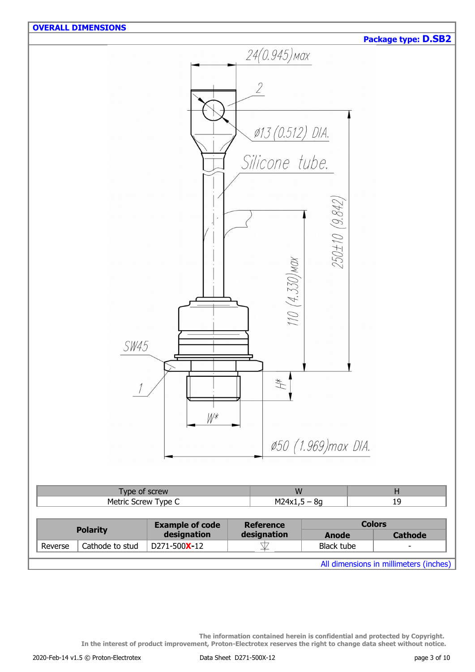

All dimensions in millimeters (inches)

**The information contained herein is confidential and protected by Copyright. In the interest of product improvement, Proton-Electrotex reserves the right to change data sheet without notice.**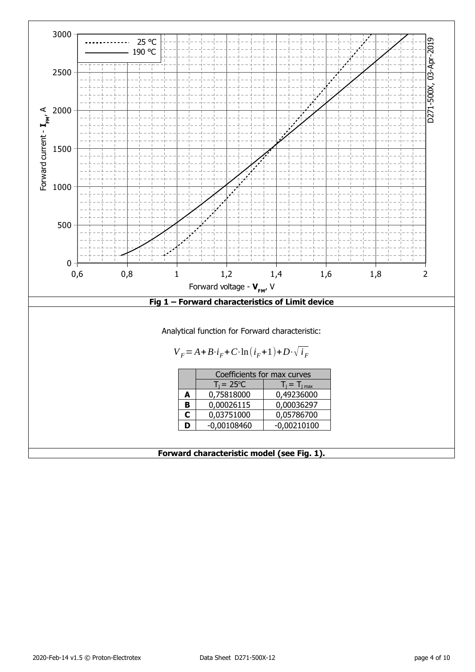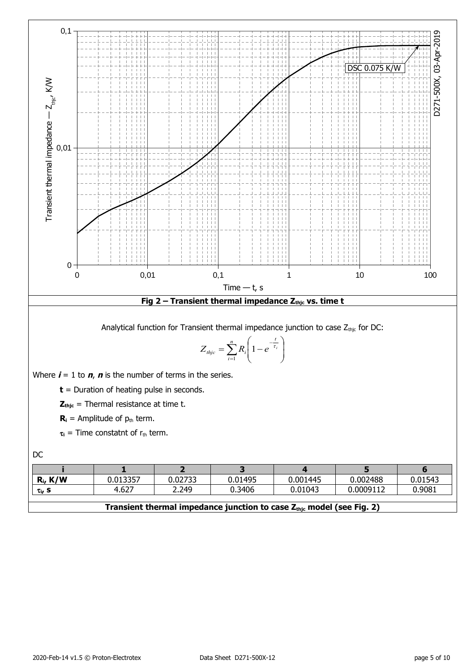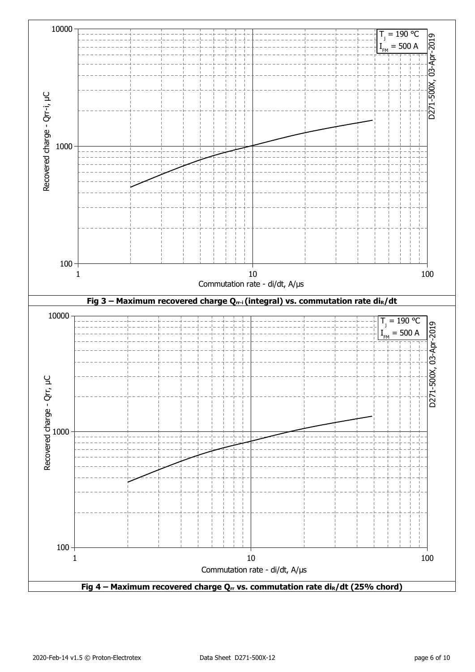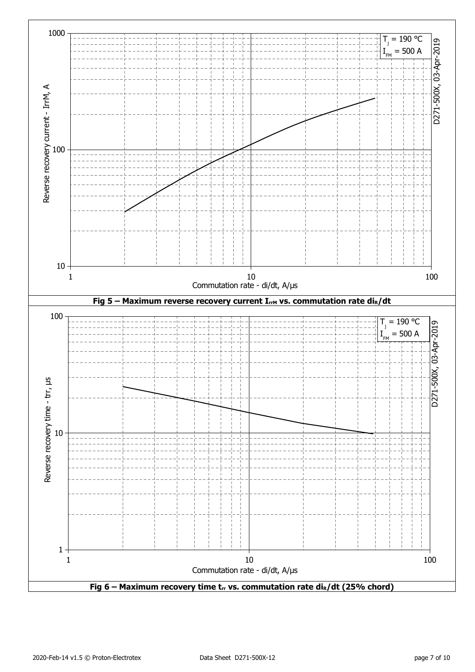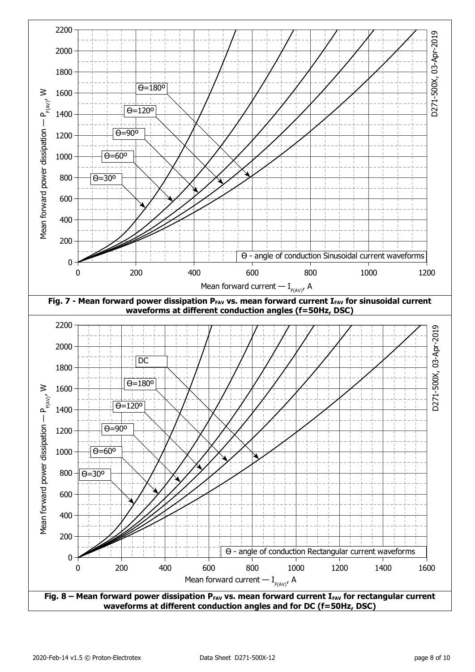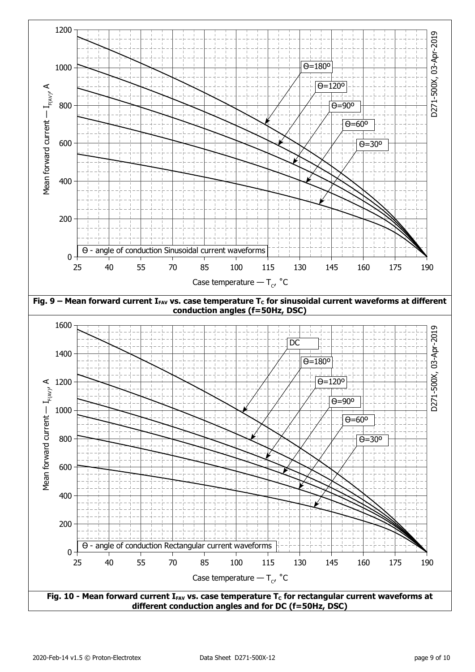